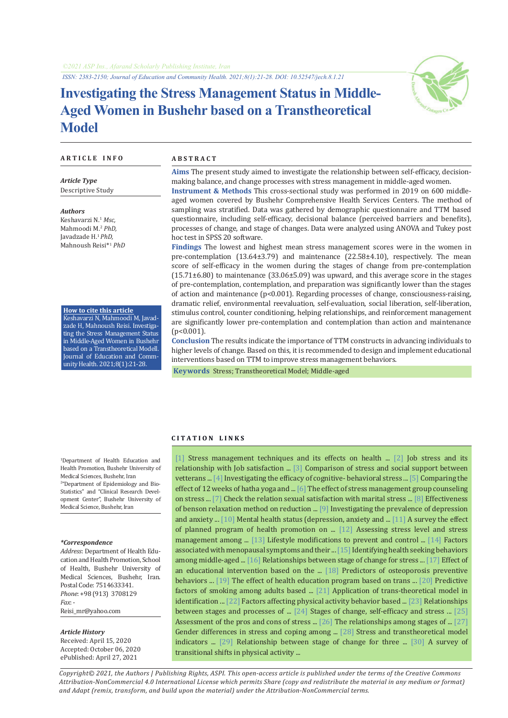*ISSN: 2383-2150; Journal of Education and Community Health. 2021;8(1):21-28. DOI: 10.52547/jech.8.1.21*

# **Investigating the Stress Management Status in Middle-Aged Women in Bushehr based on a Transtheoretical Model**



### **A R T I C L E I N F O A B S T R A C T**

*Article Type* Descriptive Study

*Authors* Keshavarzi N.<sup>1</sup>  *Msc,*  Mahmoodi M.<sup>2</sup> *PhD,* Javadzade H.<sup>1</sup>*PhD,* Mahnoush Reisi\*1 *PhD*

**How to cite this article** Keshavarzi N, Mahmoodi M, Javadzade H, Mahnoush Reisi. Investigating the Stress Management Status in Middle-Aged Women in Bushehr based on a Transtheoretical Modell. Journal of Education and CommunityHealth. 2021;8(1):21-28.

**Aims** The present study aimed to investigate the relationship between self-efficacy, decisionmaking balance, and change processes with stress management in middle-aged women.

**Instrument & Methods** This cross-sectional study was performed in 2019 on 600 middleaged women covered by Bushehr Comprehensive Health Services Centers. The method of sampling was stratified. Data was gathered by demographic questionnaire and TTM based questionnaire, including self-efficacy, decisional balance (perceived barriers and benefits), processes of change, and stage of changes. Data were analyzed using ANOVA and Tukey post hoc test in SPSS 20 software.

**Findings** The lowest and highest mean stress management scores were in the women in pre-contemplation (13.64±3.79) and maintenance (22.58±4.10), respectively. The mean score of self-efficacy in the women during the stages of change from pre-contemplation (15.71±6.80) to maintenance (33.06±5.09) was upward, and this average score in the stages of pre-contemplation, contemplation, and preparation was significantly lower than the stages of action and maintenance  $(p<0.001)$ . Regarding processes of change, consciousness-raising, dramatic relief, environmental reevaluation, self-evaluation, social liberation, self-liberation, stimulus control, counter conditioning, helping relationships, and reinforcement management are significantly lower pre-contemplation and contemplation than action and maintenance (p<0.001).

**Conclusion** The results indicate the importance of TTM constructs in advancing individuals to higher levels of change. Based on this, it is recommended to design and implement educational interventions based on TTM to improve stress management behaviors.

 **Keywords** [Stress;](https://www.ncbi.nlm.nih.gov/mesh/68013315) [Transtheoretical Model](https://www.ncbi.nlm.nih.gov/mesh/2052027); [Middle-aged](https://www.ncbi.nlm.nih.gov/mesh/68008875)

#### **C I T A T I O N L I N K S**

1 Department of Health Education and Health Promotion, Bushehr University of Medical Sciences, Bushehr, Iran 2 "Department of Epidemiology and Bio-Statistics" and "Clinical Research Development Center", Bushehr University of Medical Science, Bushehr, Iran

#### *\*Correspondence*

*Address*: Department of Health Education and Health Promotion, School of Health, Bushehr University of Medical Sciences, Bushehr, Iran. Postal Code: 7514633341. *Phone*: +98 (913) 3708129 *Fax*: - Reisi\_mr@yahoo.com

#### *Article History*

Received: April 15, 2020 Accepted: October 06, 2020 ePublished: April 27, 2021

[[1\]](http://socialworkmag.ir/browse.php?a_id=90&sid=1&slc_lang=en) Stress management techniques and its effects on health ... [[2\]](http://jpm.hums.ac.ir/browse.php?a_code=A-10-1-19&slc_lang=en&sid=1) Job stress and its relationship with Job satisfaction ... [[3\]](http://ijwph.ir/article-1-659-en.html) Comparison of stress and social support between vetterans ... [\[4](https://ijogi.mums.ac.ir/article_5663.html?lang=en)] Investigating the efficacy of cognitive- behavioral stress ... [\[5](http://rjms.iums.ac.ir/browse.php?a_id=4521&sid=1&slc_lang=en)] Comparing the effect of 12 weeks of hatha yoga and ... [\[6](http://jkmu.kmu.ac.ir/article_16132.html)] The effect of stress management group counseling on stress ... [\[7](http://shenakht.muk.ac.ir/browse.php?a_id=432&sid=1&slc_lang=en)] Check the relation sexual satisfaction with marital stress ... [[8\]](http://ijpn.ir/browse.php?a_id=940&sid=1&slc_lang=en) Effectiveness of benson relaxation method on reduction ... [[9\]](http://ijpcp.iums.ac.ir/article-1-232-fa.html) Investigating the prevalence of depression and anxiety ... [\[10](http://jhad.kmu.ac.ir/article_91291.html)] Mental health status (depression, anxiety and ... [\[11\]](http://ijnr.ir/browse.php?a_id=877&sid=1&slc_lang=en) A survey the effect of planned program of health promotion on ... [[12\]](http://hms.gmu.ac.ir/browse.php?a_id=950&sid=1&slc_lang=en) Assessing stress level and stress management among ... [[13\]](https://pubmed.ncbi.nlm.nih.gov/10333853/) Lifestyle modifications to prevent and control ... [[14\]](https://pubmed.ncbi.nlm.nih.gov/17681681/) Factors associated with menopausal symptoms and their ... [[15](http://jmums.mazums.ac.ir/article-1-8389-en.html)] Identifying health seeking behaviors among middle-aged ... [[16\]](https://onlinelibrary.wiley.com/doi/full/10.1111/j.1468-5884.2010.00444.x) Relationships between stage of change for stress ... [\[17\]](https://hayat.tums.ac.ir/article-1-75-en.html) Effect of an educational intervention based on the ... [[18](http://jech.umsha.ac.ir/browse.php?a_id=514&slc_lang=en&sid=1&printcase=1&hbnr=1&hmb=1)] Predictors of osteoporosis preventive behaviors ... [[19](http://Not Found )] The effect of health education program based on trans ... [[20](http://journal.ihepsa.ir/browse.php?a_id=1338&sid=1&slc_lang=en)] Predictive factors of smoking among adults based ... [[21\]](http://Not Found ) Application of trans-theoretical model in identification ... [[22](http://journal.bums.ac.ir/browse.php?a_id=1707&sid=1&slc_lang=en)] Factors affecting physical activity behavior based ... [\[23\]](https://www.scirp.org/journal/paperinformation.aspx?paperid=19784) Relationships between stages and processes of ... [[24\]](http://article.sapub.org/10.5923.j.ijpbs.20110101.04.html) Stages of change, self-efficacy and stress ... [[25\]](https://pubmed.ncbi.nlm.nih.gov/18019890/) Assessment of the pros and cons of stress ... [\[26](https://www.jstage.jst.go.jp/article/jash/5/0/5_SH-2009_033/_article/-char/en)] The relationships among stages of ... [[27\]](https://www.researchgate.net/publication/263542332_) Gender differences in stress and coping among ... [\[28](https://www.sciencedirect.com/science/article/abs/pii/S0022399902006037)] Stress and transtheoretical model indicators ... [\[29](https://www.scirp.org/journal/paperinformation.aspx?paperid=60374)] Relationship between stage of change for three ... [[30\]](http://jhr.ssu.ac.ir/article-1-302-en.html) A survey of transitional shifts in physical activity ...

*Copyright© 2021, the Authors | Publishing Rights, ASPI. This open-access article is published under the terms of the Creative Commons Attribution-NonCommercial 4.0 International License which permits Share (copy and redistribute the material in any medium or format) and Adapt (remix, transform, and build upon the material) under the Attribution-NonCommercial terms.*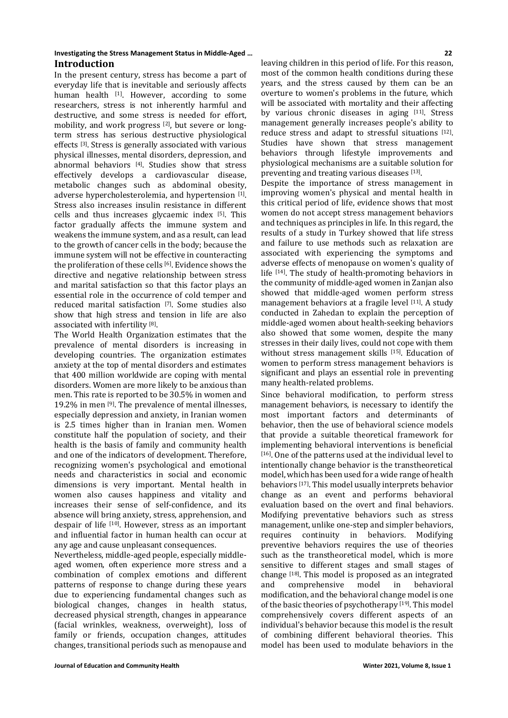## **Investigating the Stress Management Status in Middle-Aged … 22 Introduction**

In the present century, stress has become a part of everyday life that is inevitable and seriously affects human health  $[1]$ . However, according to some researchers, stress is not inherently harmful and destructive, and some stress is needed for effort, mobility, and work progress [2], but severe or longterm stress has serious destructive physiological effects [3]. Stress is generally associated with various physical illnesses, mental disorders, depression, and abnormal behaviors [4]. Studies show that stress effectively develops a cardiovascular disease, metabolic changes such as abdominal obesity, adverse hypercholesterolemia, and hypertension [1]. Stress also increases insulin resistance in different cells and thus increases glycaemic index [5]. This factor gradually affects the immune system and weakens the immune system, and as a result, can lead to the growth of cancer cells in the body; because the immune system will not be effective in counteracting the proliferation of these cells [6]. Evidence shows the directive and negative relationship between stress and marital satisfaction so that this factor plays an essential role in the occurrence of cold temper and reduced marital satisfaction [7]. Some studies also show that high stress and tension in life are also associated with infertility [8].

The World Health Organization estimates that the prevalence of mental disorders is increasing in developing countries. The organization estimates anxiety at the top of mental disorders and estimates that 400 million worldwide are coping with mental disorders. Women are more likely to be anxious than men. This rate is reported to be 30.5% in women and 19.2% in men [9]. The prevalence of mental illnesses, especially depression and anxiety, in Iranian women is 2.5 times higher than in Iranian men. Women constitute half the population of society, and their health is the basis of family and community health and one of the indicators of development. Therefore, recognizing women's psychological and emotional needs and characteristics in social and economic dimensions is very important. Mental health in women also causes happiness and vitality and increases their sense of self-confidence, and its absence will bring anxiety, stress, apprehension, and despair of life [10]. However, stress as an important and influential factor in human health can occur at any age and cause unpleasant consequences.

Nevertheless, middle-aged people, especially middleaged women, often experience more stress and a combination of complex emotions and different patterns of response to change during these years due to experiencing fundamental changes such as biological changes, changes in health status, decreased physical strength, changes in appearance (facial wrinkles, weakness, overweight), loss of family or friends, occupation changes, attitudes changes, transitional periods such as menopause and leaving children in this period of life. For this reason, most of the common health conditions during these years, and the stress caused by them can be an overture to women's problems in the future, which will be associated with mortality and their affecting by various chronic diseases in aging [11]. Stress management generally increases people's ability to reduce stress and adapt to stressful situations [12]. Studies have shown that stress management behaviors through lifestyle improvements and physiological mechanisms are a suitable solution for preventing and treating various diseases [13].

Despite the importance of stress management in improving women's physical and mental health in this critical period of life, evidence shows that most women do not accept stress management behaviors and techniques as principles in life. In this regard, the results of a study in Turkey showed that life stress and failure to use methods such as relaxation are associated with experiencing the symptoms and adverse effects of menopause on women's quality of life [14]. The study of health-promoting behaviors in the community of middle-aged women in Zanjan also showed that middle-aged women perform stress management behaviors at a fragile level [11]. A study conducted in Zahedan to explain the perception of middle-aged women about health-seeking behaviors also showed that some women, despite the many stresses in their daily lives, could not cope with them without stress management skills [15]. Education of women to perform stress management behaviors is significant and plays an essential role in preventing many health-related problems.

Since behavioral modification, to perform stress management behaviors, is necessary to identify the most important factors and determinants of behavior, then the use of behavioral science models that provide a suitable theoretical framework for implementing behavioral interventions is beneficial [16]. One of the patterns used at the individual level to intentionally change behavior is the transtheoretical model, which has been used for a wide range of health behaviors [17]. This model usually interprets behavior change as an event and performs behavioral evaluation based on the overt and final behaviors. Modifying preventative behaviors such as stress management, unlike one-step and simpler behaviors, requires continuity in behaviors. Modifying preventive behaviors requires the use of theories such as the transtheoretical model, which is more sensitive to different stages and small stages of change <sup>[18]</sup>. This model is proposed as an integrated<br>and comprehensive model in behavioral comprehensive modification, and the behavioral change model is one of the basic theories of psychotherapy [19]. This model comprehensively covers different aspects of an individual's behavior because this model is the result of combining different behavioral theories. This model has been used to modulate behaviors in the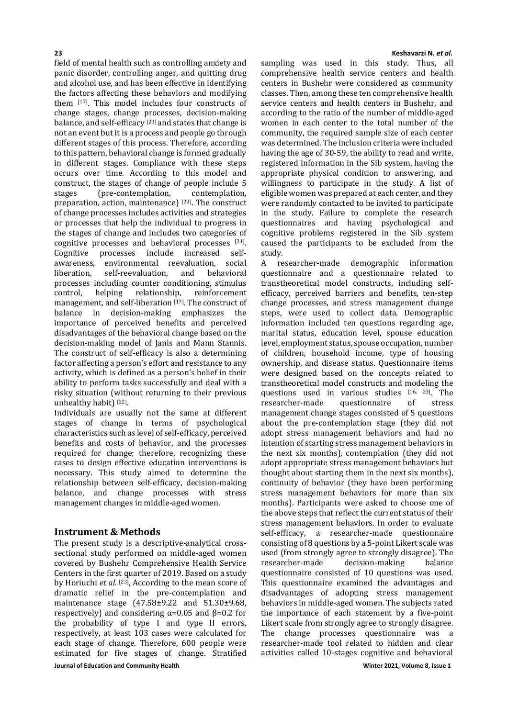field of mental health such as controlling anxiety and panic disorder, controlling anger, and quitting drug and alcohol use, and has been effective in identifying the factors affecting these behaviors and modifying them [17]. This model includes four constructs of change stages, change processes, decision-making balance, and self-efficacy<sup>[20]</sup> and states that change is not an event but it is a process and people go through different stages of this process. Therefore, according to this pattern, behavioral change is formed gradually in different stages. Compliance with these steps occurs over time. According to this model and construct, the stages of change of people include 5<br>stages (pre-contemplation, contemplation, (pre-contemplation, preparation, action, maintenance) [20]. The construct of change processes includes activities and strategies or processes that help the individual to progress in the stages of change and includes two categories of cognitive processes and behavioral processes [21].<br>Cognitive processes include increased selfprocesses include increased awareness, environmental reevaluation, social self-reevaluation. processes including counter conditioning, stimulus<br>control, helping relationship, reinforcement reinforcement management, and self-liberation  $[17]$ . The construct of balance in decision-making emphasizes the balance in decision-making emphasizes importance of perceived benefits and perceived disadvantages of the behavioral change based on the decision-making model of Janis and Mann Stannis. The construct of self-efficacy is also a determining factor affecting a person's effort and resistance to any activity, which is defined as a person's belief in their ability to perform tasks successfully and deal with a risky situation (without returning to their previous unhealthy habit) [22].

Individuals are usually not the same at different stages of change in terms of psychological characteristics such as level of self-efficacy, perceived benefits and costs of behavior, and the processes required for change; therefore, recognizing these cases to design effective education interventions is necessary. This study aimed to determine the relationship between self-efficacy, decision-making balance, and change processes with stress management changes in middle-aged women.

## **Instrument & Methods**

**Journal of Education and Community Health Winter 2021, Volume 8, Issue 1** The present study is a descriptive-analytical crosssectional study performed on middle-aged women covered by Bushehr Comprehensive Health Service Centers in the first quarter of 2019. Based on a study by Horiuchi *et al*. [23], According to the mean score of dramatic relief in the pre-contemplation and maintenance stage (47.58±9.22 and 51.30±9.68, respectively) and considering  $α=0.05$  and  $β=0.2$  for the probability of type I and type II errors, respectively, at least 103 cases were calculated for each stage of change. Therefore, 600 people were estimated for five stages of change. Stratified

sampling was used in this study. Thus, all comprehensive health service centers and health centers in Bushehr were considered as community classes. Then, among these ten comprehensive health service centers and health centers in Bushehr, and according to the ratio of the number of middle-aged women in each center to the total number of the community, the required sample size of each center was determined. The inclusion criteria were included having the age of 30-59, the ability to read and write, registered information in the Sib system, having the appropriate physical condition to answering, and willingness to participate in the study. A list of eligible women was prepared at each center, and they were randomly contacted to be invited to participate in the study. Failure to complete the research questionnaires and having psychological and cognitive problems registered in the Sib system caused the participants to be excluded from the study.<br>A re

researcher-made demographic information questionnaire and a questionnaire related to transtheoretical model constructs, including selfefficacy, perceived barriers and benefits, ten-step change processes, and stress management change steps, were used to collect data. Demographic information included ten questions regarding age, marital status, education level, spouse education level, employment status, spouse occupation, number of children, household income, type of housing ownership, and disease status. Questionnaire items were designed based on the concepts related to transtheoretical model constructs and modeling the questions used in various studies  $[16, 23]$ . The researcher-made questionnaire of stress researcher-made management change stages consisted of 5 questions about the pre-contemplation stage (they did not adopt stress management behaviors and had no intention of starting stress management behaviors in the next six months), contemplation (they did not adopt appropriate stress management behaviors but thought about starting them in the next six months), continuity of behavior (they have been performing stress management behaviors for more than six months). Participants were asked to choose one of the above steps that reflect the current status of their stress management behaviors. In order to evaluate self-efficacy, a researcher-made questionnaire consisting of 8 questions by a 5-point Likert scale was used (from strongly agree to strongly disagree). The researcher-made questionnaire consisted of 10 questions was used. This questionnaire examined the advantages and disadvantages of adopting stress management behaviors in middle-aged women. The subjects rated the importance of each statement by a five-point Likert scale from strongly agree to strongly disagree. The change processes questionnaire was a researcher-made tool related to hidden and clear activities called 10-stages cognitive and behavioral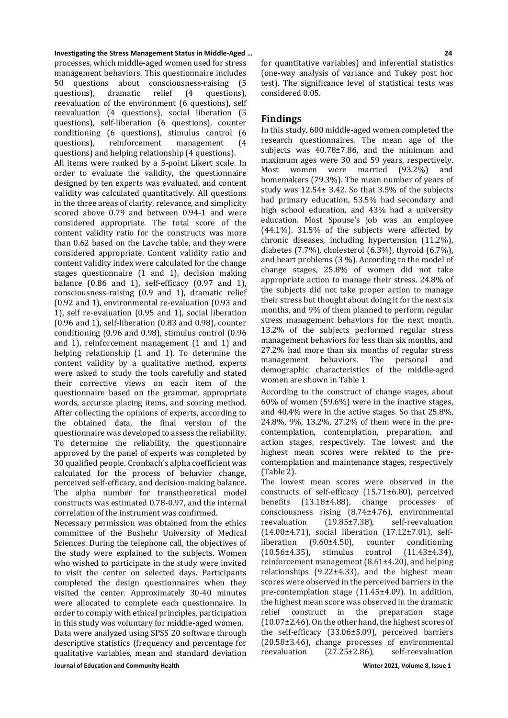## **Investigating the Stress Management Status in Middle-Aged … 24**

processes, which middle-aged women used for stress management behaviors. This questionnaire includes 50 questions about consciousness-raising (5 questions), dramatic relief (4 questions), questions), dramatic relief (4 questions), reevaluation of the environment (6 questions), self reevaluation (4 questions), social liberation (5 questions), self-liberation (6 questions), counter conditioning (6 questions), stimulus control (6 management questions) and helping relationship (4 questions). All items were ranked by a 5-point Likert scale. In order to evaluate the validity, the questionnaire designed by ten experts was evaluated, and content validity was calculated quantitatively. All questions in the three areas of clarity, relevance, and simplicity scored above 0.79 and between 0.94-1 and were considered appropriate. The total score of the content validity ratio for the constructs was more than 0.62 based on the Lavche table, and they were considered appropriate. Content validity ratio and content validity index were calculated for the change stages questionnaire (1 and 1), decision making balance  $(0.86$  and 1), self-efficacy  $(0.97$  and 1), consciousness-raising (0.9 and 1), dramatic relief (0.92 and 1), environmental re-evaluation (0.93 and 1), self re-evaluation (0.95 and 1), social liberation (0.96 and 1), self-liberation (0.83 and 0.98), counter conditioning (0.96 and 0.98), stimulus control (0.96 and 1), reinforcement management (1 and 1) and helping relationship (1 and 1). To determine the content validity by a qualitative method, experts were asked to study the tools carefully and stated their corrective views on each item of the questionnaire based on the grammar, appropriate words, accurate placing items, and scoring method. After collecting the opinions of experts, according to the obtained data, the final version of the questionnaire was developed to assess the reliability. To determine the reliability, the questionnaire approved by the panel of experts was completed by 30 qualified people. Cronbach's alpha coefficient was calculated for the process of behavior change, perceived self-efficacy, and decision-making balance. The alpha number for transtheoretical model constructs was estimated 0.78-0.97, and the internal correlation of the instrument was confirmed.

Necessary permission was obtained from the ethics committee of the Bushehr University of Medical Sciences. During the telephone call, the objectives of the study were explained to the subjects. Women who wished to participate in the study were invited to visit the center on selected days. Participants completed the design questionnaires when they visited the center. Approximately 30-40 minutes were allocated to complete each questionnaire. In order to comply with ethical principles, participation in this study was voluntary for middle-aged women.

**Journal of Education and Community Health Winter 2021, Volume 8, Issue 1** Data were analyzed using SPSS 20 software through descriptive statistics (frequency and percentage for qualitative variables, mean and standard deviation

for quantitative variables) and inferential statistics (one-way analysis of variance and Tukey post hoc test). The significance level of statistical tests was considered 0.05.

## **Findings**

In this study, 600 middle-aged women completed the research questionnaires. The mean age of the subjects was 40.78±7.86, and the minimum and maximum ages were 30 and 59 years, respectively.<br>Most women were married (93.2%) and women were married  $(93.2\%)$ homemakers (79.3%). The mean number of years of study was 12.54± 3.42. So that 3.5% of the subjects had primary education, 53.5% had secondary and high school education, and 43% had a university education. Most Spouse's job was an employee (44.1%). 31.5% of the subjects were affected by chronic diseases, including hypertension (11.2%), diabetes (7.7%), cholesterol (6.3%), thyroid (6.7%), and heart problems (3 %). According to the model of change stages, 25.8% of women did not take appropriate action to manage their stress. 24.8% of the subjects did not take proper action to manage their stress but thought about doing it for the next six months, and 9% of them planned to perform regular stress management behaviors for the next month. 13.2% of the subjects performed regular stress management behaviors for less than six months, and 27.2% had more than six months of regular stress<br>management behaviors. The personal and behaviors. The demographic characteristics of the middle-aged women are shown in Table 1.

According to the construct of change stages, about 60% of women (59.6%) were in the inactive stages, and 40.4% were in the active stages. So that 25.8%, 24.8%, 9%, 13.2%, 27.2% of them were in the precontemplation, contemplation, preparation, and action stages, respectively. The lowest and the highest mean scores were related to the precontemplation and maintenance stages, respectively (Table 2).

The lowest mean scores were observed in the constructs of self-efficacy  $(15.71\pm6.80)$ , perceived<br>benefits  $(13.18\pm4.88)$ , change processes of benefits  $(13.18\pm4.88)$ , change consciousness rising (8.74±4.76), environmental<br>reevaluation (19.85±7.38), self-reevaluation self-reevaluation (14.00 $\pm$ 4.71), social liberation (17.12 $\pm$ 7.01), self-<br>liberation (9.60 $\pm$ 4.50), counter conditioning  $(9.60\pm4.50)$ , counter conditioning<br>
(1.43 $\pm4.34$ ), stimulus control (11.43 $\pm4.34$ ),  $(10.56±4.35)$ , stimulus reinforcement management (8.61±4.20), and helping relationships (9.22±4.33), and the highest mean scores were observed in the perceived barriers in the pre-contemplation stage (11.45±4.09). In addition, the highest mean score was observed in the dramatic<br>relief construct in the preparation stage construct in the preparation stage (10.07±2.46). On the other hand, the highest scores of the self-efficacy (33.06±5.09), perceived barriers  $(20.58\pm3.46)$ , change processes of environmental reevaluation  $(27.25\pm2.86)$ , self-reevaluation  $(27.25 \pm 2.86)$ ,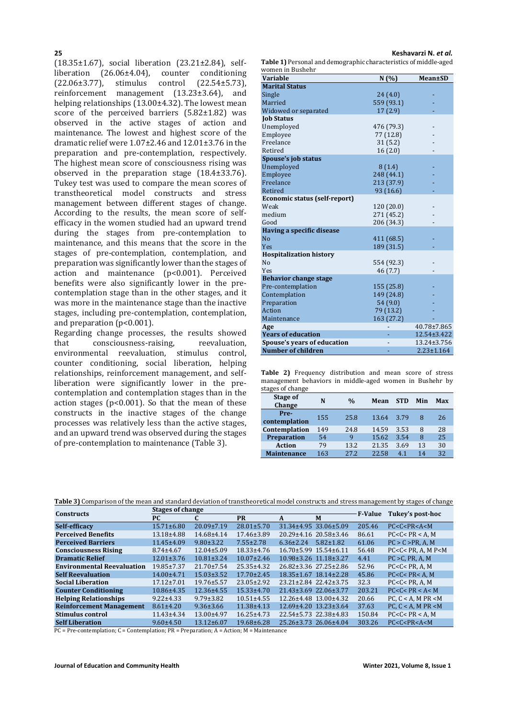(18.35±1.67), social liberation (23.21±2.84), selfliberation (26.06 $\pm$ 4.04), counter conditioning (22.06 $\pm$ 3.77), stimulus control (22.54 $\pm$ 5.73),  $(22.54±5.73)$ , reinforcement management (13.23±3.64), and helping relationships (13.00±4.32). The lowest mean score of the perceived barriers (5.82±1.82) was observed in the active stages of action and maintenance. The lowest and highest score of the dramatic relief were 1.07±2.46 and 12.01±3.76 in the preparation and pre-contemplation, respectively. The highest mean score of consciousness rising was observed in the preparation stage (18.4±33.76). Tukey test was used to compare the mean scores of transtheoretical model constructs and stress management between different stages of change. According to the results, the mean score of selfefficacy in the women studied had an upward trend during the stages from pre-contemplation to maintenance, and this means that the score in the stages of pre-contemplation, contemplation, and preparation was significantly lower than the stages of action and maintenance (p<0.001). Perceived benefits were also significantly lower in the precontemplation stage than in the other stages, and it was more in the maintenance stage than the inactive stages, including pre-contemplation, contemplation, and preparation (p<0.001).

Regarding change processes, the results showed<br>that consciousness-raising. reevaluation. consciousness-raising. environmental reevaluation, stimulus control, counter conditioning, social liberation, helping relationships, reinforcement management, and selfliberation were significantly lower in the precontemplation and contemplation stages than in the action stages ( $p$ <0.001). So that the mean of these constructs in the inactive stages of the change processes was relatively less than the active stages, and an upward trend was observed during the stages of pre-contemplation to maintenance (Table 3).

**25 Keshavarzi N.** *et al.*

**Table 1)** Personal and demographic characteristics of middle-aged mon in Bushohr

| wulleli ili dusilelii          |            |                  |
|--------------------------------|------------|------------------|
| <b>Variable</b>                | N(% )      | <b>Mean±SD</b>   |
| <b>Marital Status</b>          |            |                  |
| Single                         | 24(4.0)    |                  |
| Married                        | 559 (93.1) |                  |
| Widowed or separated           | 17(2.9)    |                  |
| <b>Job Status</b>              |            |                  |
| Unemployed                     | 476 (79.3) |                  |
| Employee                       | 77 (12.8)  |                  |
| Freelance                      | 31(5.2)    |                  |
| Retired                        | 16(2.0)    |                  |
| Spouse's job status            |            |                  |
| Unemployed                     | 8(1.4)     |                  |
| Employee                       | 248 (44.1) |                  |
| Freelance                      | 213 (37.9) |                  |
| Retired                        | 93 (16.6)  |                  |
| Economic status (self-report)  |            |                  |
| Weak                           | 120 (20.0) |                  |
| medium                         | 271 (45.2) |                  |
| Good                           | 206 (34.3) |                  |
| Having a specific disease      |            |                  |
| N <sub>0</sub>                 | 411 (68.5) |                  |
| <b>Yes</b>                     | 189 (31.5) |                  |
| <b>Hospitalization history</b> |            |                  |
| No                             | 554 (92.3) |                  |
| <b>Yes</b>                     | 46 (7.7)   |                  |
| <b>Behavior change stage</b>   |            |                  |
| Pre-contemplation              | 155 (25.8) |                  |
| Contemplation                  | 149 (24.8) |                  |
| Preparation                    | 54 (9.0)   |                  |
| Action                         | 79 (13.2)  |                  |
| Maintenance                    | 163 (27.2) |                  |
| Age                            |            | 40.78±7.865      |
| <b>Years of education</b>      |            | 12.54±3.422      |
| Spouse's years of education    |            | 13.24±3.756      |
| <b>Number of children</b>      |            | $2.23 \pm 1.164$ |

**Table 2)** Frequency distribution and mean score of stress management behaviors in middle-aged women in Bushehr by stages of change

| Stage of<br>Change    | N   | $\frac{0}{0}$ | Mean  | <b>STD</b> | Min | Max |
|-----------------------|-----|---------------|-------|------------|-----|-----|
| Pre-<br>contemplation | 155 | 25.8          | 13.64 | 3.79       | 8   | 26  |
| Contemplation         | 149 | 24.8          | 14.59 | 3.53       | 8   | 28  |
| Preparation           | 54  | q             | 15.62 | 3.54       | 8   | 25  |
| <b>Action</b>         | 79  | 13.2          | 21.35 | 3.69       | 13  | 30  |
| <b>Maintenance</b>    | 163 | 27.2          | 22.58 | 4.1        | 14  | 32  |

| Table 3) Comparison of the mean and standard deviation of transtheoretical model constructs and stress management by stages of change |
|---------------------------------------------------------------------------------------------------------------------------------------|
|---------------------------------------------------------------------------------------------------------------------------------------|

| <b>Constructs</b>                 | <b>Stages of change</b> |                  |                  |                                   | <b>F-Value</b>  | Tukey's post-hoc |                              |
|-----------------------------------|-------------------------|------------------|------------------|-----------------------------------|-----------------|------------------|------------------------------|
|                                   | PC.                     |                  | <b>PR</b>        | A                                 | M               |                  |                              |
| Self-efficacy                     | $15.71 \pm 6.80$        | $20.09 \pm 7.19$ | $28.01 \pm 5.70$ | 31.34±4.95 33.06±5.09             |                 | 205.46           | PC < C < PR < A < M          |
| <b>Perceived Benefits</b>         | 13.18±4.88              | 14.68±4.14       | $17.46 \pm 3.89$ | 20.29±4.16 20.58±3.46             |                 | 86.61            | $PC < C < PR < A$ . M        |
| <b>Perceived Barriers</b>         | $11.45 \pm 4.09$        | $9.80 \pm 3.22$  | $7.55 \pm 2.78$  | $6.36 \pm 2.24$                   | $5.82 \pm 1.82$ | 61.06            | PC > C > PR. A. M            |
| <b>Consciousness Rising</b>       | $8.74 \pm 4.67$         | $12.04 \pm 5.09$ | $18.33 \pm 4.76$ | $16.70 \pm 5.99$ 15.54 $\pm 6.11$ |                 | 56.48            | $PC < C < PR$ . A. M $P < M$ |
| <b>Dramatic Relief</b>            | $12.01 \pm 3.76$        | $10.81 \pm 3.24$ | $10.07 \pm 2.46$ | 10.98±3.26 11.18±3.27             |                 | 4.41             | $PC > C$ . PR. A. M          |
| <b>Environmental Reevaluation</b> | $19.85 \pm 7.37$        | $21.70 \pm 7.54$ | $25.35 \pm 4.32$ | 26.82±3.36 27.25±2.86             |                 | 52.96            | PC < C < PR. A. M            |
| <b>Self Reevaluation</b>          | 14.00±4.71              | $15.03 \pm 3.52$ | $17.70 \pm 2.45$ | $18.35 \pm 1.67$ $18.14 \pm 2.28$ |                 | 45.86            | $PC < C < PR < A$ . M        |
| <b>Social Liberation</b>          | $17.12 \pm 7.01$        | $19.76 \pm 5.57$ | $23.05 \pm 2.92$ | 23.21±2.84 22.42±3.75             |                 | 32.3             | PC < C < PR. A. M            |
| <b>Counter Conditioning</b>       | 10.86±4.35              | $12.36 \pm 4.55$ | $15.33 \pm 4.70$ | 21.43±3.69 22.06±3.77             |                 | 203.21           | PC < C < PR < A < M          |
| <b>Helping Relationships</b>      | $9.22 \pm 4.33$         | $9.79 \pm 3.82$  | $10.51 \pm 4.55$ | $12.26 \pm 4.48$ $13.00 \pm 4.32$ |                 | 20.66            | PC. $C < A$ . M PR $\lt M$   |
| <b>Reinforcement Management</b>   | $8.61 \pm 4.20$         | $9.36 \pm 3.66$  | $11.38 + 4.13$   | $12.69 \pm 4.20$ $13.23 \pm 3.64$ |                 | 37.63            | PC. $C < A$ . M PR $\lt M$   |
| Stimulus control                  | $11.43 \pm 4.34$        | $13.00 \pm 4.97$ | $16.25 \pm 4.73$ | 22.54±5.73 22.38±4.83             |                 | 150.84           | $PC < C < PR < A$ . M        |
| <b>Self Liberation</b>            | $9.60 \pm 4.50$         | $13.12 \pm 6.07$ | 19.68±6.28       | 25.26±3.73 26.06±4.04             |                 | 303.26           | PC < C < PR < A < M          |

PC = Pre-contemplation; C = Contemplation; PR = Preparation; A = Action; M = Maintenance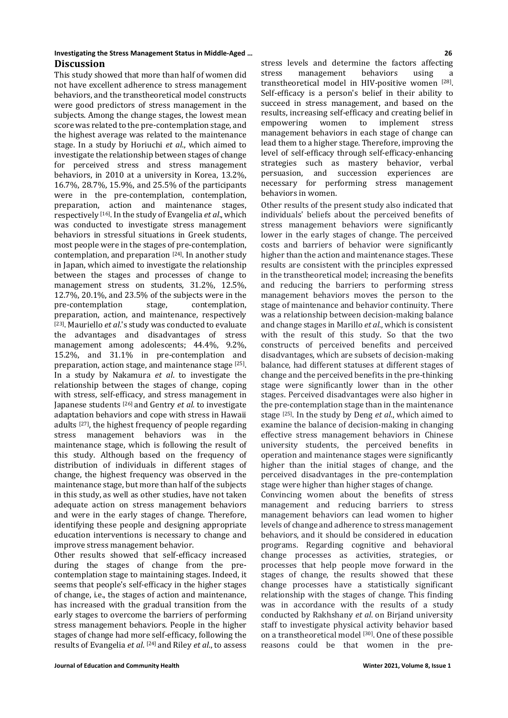## **Investigating the Stress Management Status in Middle-Aged … 26 Discussion**

This study showed that more than half of women did not have excellent adherence to stress management behaviors, and the transtheoretical model constructs were good predictors of stress management in the subjects. Among the change stages, the lowest mean score was related to the pre-contemplation stage, and the highest average was related to the maintenance stage. In a study by Horiuchi *et al*., which aimed to investigate the relationship between stages of change for perceived stress and stress management behaviors, in 2010 at a university in Korea, 13.2%, 16.7%, 28.7%, 15.9%, and 25.5% of the participants were in the pre-contemplation, contemplation, preparation, action and maintenance stages, respectively [16]. In the study of Evangelia *et al*., which was conducted to investigate stress management behaviors in stressful situations in Greek students, most people were in the stages of pre-contemplation, contemplation, and preparation [24]. In another study in Japan, which aimed to investigate the relationship between the stages and processes of change to management stress on students, 31.2%, 12.5%, 12.7%, 20.1%, and 23.5% of the subjects were in the pre-contemplation preparation, action, and maintenance, respectively [23]. Mauriello *et al*.'s study was conducted to evaluate the advantages and disadvantages of stress management among adolescents; 44.4%, 9.2%, 15.2%, and 31.1% in pre-contemplation and preparation, action stage, and maintenance stage [25]. In a study by Nakamura *et al*. to investigate the relationship between the stages of change, coping with stress, self-efficacy, and stress management in Japanese students [26] and Gentry *et al.* to investigate adaptation behaviors and cope with stress in Hawaii adults [27], the highest frequency of people regarding stress management behaviors was in the maintenance stage, which is following the result of this study. Although based on the frequency of distribution of individuals in different stages of change, the highest frequency was observed in the maintenance stage, but more than half of the subjects in this study, as well as other studies, have not taken adequate action on stress management behaviors and were in the early stages of change. Therefore, identifying these people and designing appropriate education interventions is necessary to change and improve stress management behavior.

Other results showed that self-efficacy increased during the stages of change from the precontemplation stage to maintaining stages. Indeed, it seems that people's self-efficacy in the higher stages of change, i.e., the stages of action and maintenance, has increased with the gradual transition from the early stages to overcome the barriers of performing stress management behaviors. People in the higher stages of change had more self-efficacy, following the results of Evangelia *et al*. [24] and Riley *et al*., to assess

stress levels and determine the factors affecting<br>stress management behaviors using a stress management behaviors using a transtheoretical model in HIV-positive women [28]. Self-efficacy is a person's belief in their ability to succeed in stress management, and based on the results, increasing self-efficacy and creating belief in<br>empowering women to implement stress implement management behaviors in each stage of change can lead them to a higher stage. Therefore, improving the level of self-efficacy through self-efficacy-enhancing strategies such as mastery behavior, verbal persuasion, and succession experiences are necessary for performing stress management behaviors in women.

Other results of the present study also indicated that individuals' beliefs about the perceived benefits of stress management behaviors were significantly lower in the early stages of change. The perceived costs and barriers of behavior were significantly higher than the action and maintenance stages. These results are consistent with the principles expressed in the transtheoretical model; increasing the benefits and reducing the barriers to performing stress management behaviors moves the person to the stage of maintenance and behavior continuity. There was a relationship between decision-making balance and change stages in Marillo *et al*., which is consistent with the result of this study. So that the two constructs of perceived benefits and perceived disadvantages, which are subsets of decision-making balance, had different statuses at different stages of change and the perceived benefits in the pre-thinking stage were significantly lower than in the other stages. Perceived disadvantages were also higher in the pre-contemplation stage than in the maintenance stage [25]. In the study by Deng *et al*., which aimed to examine the balance of decision-making in changing effective stress management behaviors in Chinese university students, the perceived benefits in operation and maintenance stages were significantly higher than the initial stages of change, and the perceived disadvantages in the pre-contemplation stage were higher than higher stages of change.

Convincing women about the benefits of stress management and reducing barriers to stress management behaviors can lead women to higher levels of change and adherence to stress management behaviors, and it should be considered in education programs. Regarding cognitive and behavioral change processes as activities, strategies, or processes that help people move forward in the stages of change, the results showed that these change processes have a statistically significant relationship with the stages of change. This finding was in accordance with the results of a study conducted by Rakhshany *et al*. on Birjand university staff to investigate physical activity behavior based on a transtheoretical model [30]. One of these possible reasons could be that women in the pre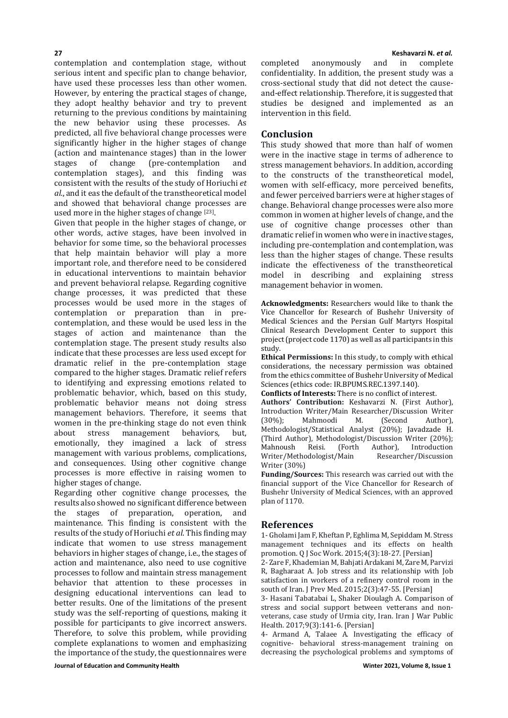**27 Keshavarzi N.** *et al.* contemplation and contemplation stage, without serious intent and specific plan to change behavior, have used these processes less than other women. However, by entering the practical stages of change, they adopt healthy behavior and try to prevent returning to the previous conditions by maintaining the new behavior using these processes. As predicted, all five behavioral change processes were significantly higher in the higher stages of change (action and maintenance stages) than in the lower<br>stages of change (pre-contemplation and (pre-contemplation contemplation stages), and this finding was consistent with the results of the study of Horiuchi *et al.*, and it eas the default of the transtheoretical model and showed that behavioral change processes are

used more in the higher stages of change [23]. Given that people in the higher stages of change, or other words, active stages, have been involved in behavior for some time, so the behavioral processes that help maintain behavior will play a more important role, and therefore need to be considered in educational interventions to maintain behavior and prevent behavioral relapse. Regarding cognitive change processes, it was predicted that these processes would be used more in the stages of contemplation or preparation than in precontemplation, and these would be used less in the stages of action and maintenance than the contemplation stage. The present study results also indicate that these processes are less used except for dramatic relief in the pre-contemplation stage compared to the higher stages. Dramatic relief refers to identifying and expressing emotions related to problematic behavior, which, based on this study, problematic behavior means not doing stress management behaviors. Therefore, it seems that women in the pre-thinking stage do not even think<br>about stress management behaviors, but, management behaviors, emotionally, they imagined a lack of stress management with various problems, complications, and consequences. Using other cognitive change processes is more effective in raising women to higher stages of change.

Regarding other cognitive change processes, the results also showed no significant difference between<br>the stages of preparation. operation. and stages of preparation, operation, maintenance. This finding is consistent with the results of the study of Horiuchi *et al*. This finding may indicate that women to use stress management behaviors in higher stages of change, i.e., the stages of action and maintenance, also need to use cognitive processes to follow and maintain stress management behavior that attention to these processes in designing educational interventions can lead to better results. One of the limitations of the present study was the self-reporting of questions, making it possible for participants to give incorrect answers. Therefore, to solve this problem, while providing complete explanations to women and emphasizing the importance of the study, the questionnaires were

completed anonymously and in confidentiality. In addition, the present study was a cross-sectional study that did not detect the causeand-effect relationship. Therefore, it is suggested that studies be designed and implemented as an intervention in this field.

## **Conclusion**

This study showed that more than half of women were in the inactive stage in terms of adherence to stress management behaviors. In addition, according to the constructs of the transtheoretical model, women with self-efficacy, more perceived benefits, and fewer perceived barriers were at higher stages of change. Behavioral change processes were also more common in women at higher levels of change, and the use of cognitive change processes other than dramatic relief in women who were in inactive stages, including pre-contemplation and contemplation, was less than the higher stages of change. These results indicate the effectiveness of the transtheoretical<br>model in describing and explaining stress model in describing and management behavior in women.

**Acknowledgments:** Researchers would like to thank the Vice Chancellor for Research of Bushehr University of Medical Sciences and the Persian Gulf Martyrs Hospital Clinical Research Development Center to support this project (project code 1170) as well as all participants in this study.

**Ethical Permissions:** In this study, to comply with ethical considerations, the necessary permission was obtained from the ethics committee of Bushehr University of Medical Sciences (ethics code: IR.BPUMS.REC.1397.140).

**Conflicts of Interests:** There is no conflict of interest.

**Authors' Contribution:** Keshavarzi N. (First Author), Introduction Writer/Main Researcher/Discussion Writer<br>(30%); Mahmoodi M. (Second Author), (30%); Mahmoodi M. (Second Author), Methodologist/Statistical Analyst (20%); Javadzade H. (Third Author), Methodologist/Discussion Writer (20%);<br>Mahnoush Reisi. (Forth Author), Introduction uthor), Introduction<br>Researcher/Discussion Writer/Methodologist/Main Writer (30%)

**Funding/Sources:** This research was carried out with the financial support of the Vice Chancellor for Research of Bushehr University of Medical Sciences, with an approved plan of 1170.

## **References**

1- Gholami Jam F, Kheftan P, Eghlima M, Sepiddam M. Stress management techniques and its effects on health promotion. Q J Soc Work. 2015;4(3):18-27. [Persian]

2- Zare F, Khademian M, Bahjati Ardakani M, Zare M, Parvizi R, Bagharaat A. Job stress and its relationship with Job satisfaction in workers of a refinery control room in the south of Iran. J Prev Med. 2015;2(3):47-55. [Persian]

3- Hasani Tabatabai L, Shaker Dioulagh A. Comparison of stress and social support between vetterans and nonveterans, case study of Urmia city, Iran. Iran J War Public Health. 2017;9(3):141-6. [Persian]

4- Armand A, Talaee A. Investigating the efficacy of cognitive- behavioral stress-management training on decreasing the psychological problems and symptoms of